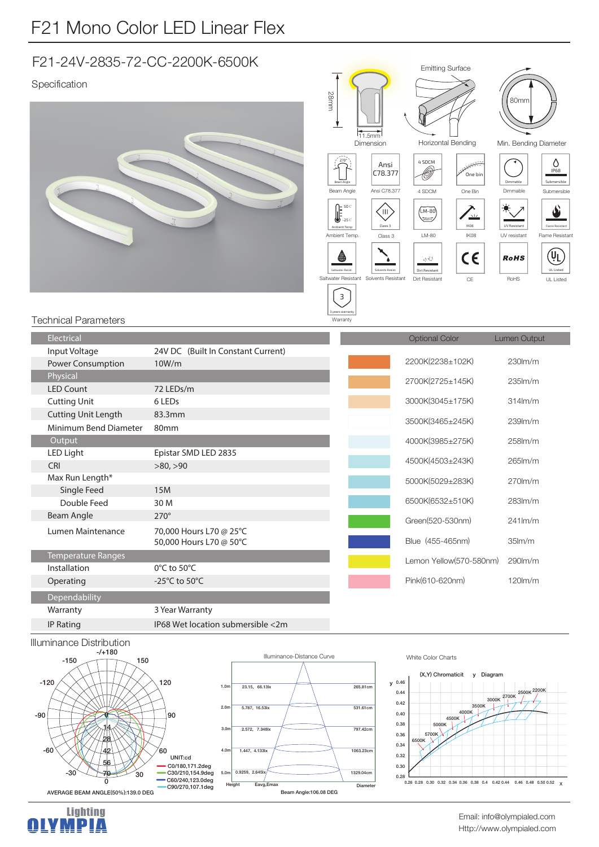## F21-24V-2835-72-CC-2200K-6500K

## Specification





## Technical Parameters

| Electrical                 |                                     | <b>Optional Color</b>   | Lumen Output        |
|----------------------------|-------------------------------------|-------------------------|---------------------|
| Input Voltage              | 24V DC (Built In Constant Current)  |                         |                     |
| Power Consumption          | 10W/m                               | 2200K(2238±102K)        | 230lm/m             |
| Physical                   |                                     | 2700K(2725±145K)        | $235$ $\text{Im/m}$ |
| <b>LED Count</b>           | 72 LEDs/m                           |                         |                     |
| <b>Cutting Unit</b>        | 6 LEDs                              | 3000K(3045±175K)        | $314lm$ /m          |
| <b>Cutting Unit Length</b> | 83.3mm                              |                         | 239lm/m             |
| Minimum Bend Diameter      | 80 <sub>mm</sub>                    | 3500K(3465±245K)        |                     |
| Output                     |                                     | 4000K(3985±275K)        | 258lm/m             |
| LED Light                  | Epistar SMD LED 2835                |                         |                     |
| <b>CRI</b>                 | >80, >90                            | 4500K(4503±243K)        | 265lm/m             |
| Max Run Length*            |                                     | 5000K(5029±283K)        | $270$ m/m           |
| Single Feed                | <b>15M</b>                          |                         |                     |
| Double Feed                | 30 M                                | 6500K(6532±510K)        | 283lm/m             |
| Beam Angle                 | $270^\circ$                         | Green(520-530nm)        | $241$ lm/m          |
| Lumen Maintenance          | 70,000 Hours L70 @ 25°C             |                         |                     |
|                            | 50,000 Hours L70 @ 50°C             | Blue (455-465nm)        | 35 <sub>lm</sub> /m |
| <b>Temperature Ranges</b>  |                                     | Lemon Yellow(570-580nm) | 290lm/m             |
| Installation               | $0^{\circ}$ C to 50 $^{\circ}$ C    |                         |                     |
| Operating                  | -25 $^{\circ}$ C to 50 $^{\circ}$ C | Pink(610-620nm)         | $120$ lm/m          |
| Dependability              |                                     |                         |                     |
| Warranty                   | 3 Year Warranty                     |                         |                     |
| <b>IP Rating</b>           | IP68 Wet location submersible <2m   |                         |                     |



Lighting<br>**AIVMPIA** 





White Color Charts



Http://www.olympialed.com Email: info@olympialed.com